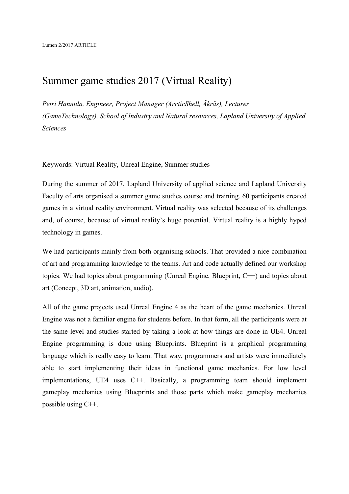## Summer game studies 2017 (Virtual Reality)

*Petri Hannula, Engineer, Project Manager (ArcticShell, Äkräs), Lecturer (GameTechnology), School of Industry and Natural resources, Lapland University of Applied Sciences*

Keywords: Virtual Reality, Unreal Engine, Summer studies

During the summer of 2017, Lapland University of applied science and Lapland University Faculty of arts organised a summer game studies course and training. 60 participants created games in a virtual reality environment. Virtual reality was selected because of its challenges and, of course, because of virtual reality's huge potential. Virtual reality is a highly hyped technology in games.

We had participants mainly from both organising schools. That provided a nice combination of art and programming knowledge to the teams. Art and code actually defined our workshop topics. We had topics about programming (Unreal Engine, Blueprint, C++) and topics about art (Concept, 3D art, animation, audio).

All of the game projects used Unreal Engine 4 as the heart of the game mechanics. Unreal Engine was not a familiar engine for students before. In that form, all the participants were at the same level and studies started by taking a look at how things are done in UE4. Unreal Engine programming is done using Blueprints. Blueprint is a graphical programming language which is really easy to learn. That way, programmers and artists were immediately able to start implementing their ideas in functional game mechanics. For low level implementations, UE4 uses C++. Basically, a programming team should implement gameplay mechanics using Blueprints and those parts which make gameplay mechanics possible using C++.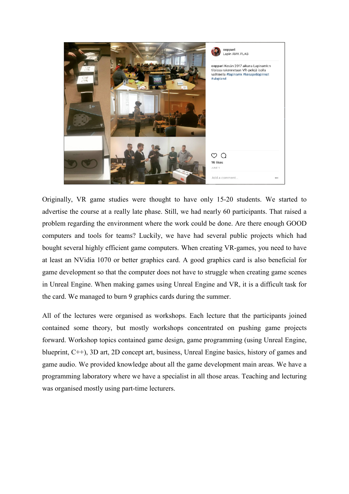

Originally, VR game studies were thought to have only 15-20 students. We started to advertise the course at a really late phase. Still, we had nearly 60 participants. That raised a problem regarding the environment where the work could be done. Are there enough GOOD computers and tools for teams? Luckily, we have had several public projects which had bought several highly efficient game computers. When creating VR-games, you need to have at least an NVidia 1070 or better graphics card. A good graphics card is also beneficial for game development so that the computer does not have to struggle when creating game scenes in Unreal Engine. When making games using Unreal Engine and VR, it is a difficult task for the card. We managed to burn 9 graphics cards during the summer.

All of the lectures were organised as workshops. Each lecture that the participants joined contained some theory, but mostly workshops concentrated on pushing game projects forward. Workshop topics contained game design, game programming (using Unreal Engine, blueprint, C++), 3D art, 2D concept art, business, Unreal Engine basics, history of games and game audio. We provided knowledge about all the game development main areas. We have a programming laboratory where we have a specialist in all those areas. Teaching and lecturing was organised mostly using part-time lecturers.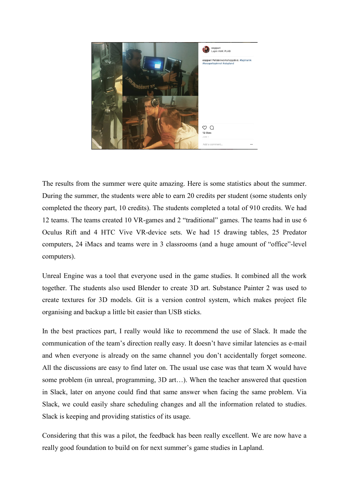

The results from the summer were quite amazing. Here is some statistics about the summer. During the summer, the students were able to earn 20 credits per student (some students only completed the theory part, 10 credits). The students completed a total of 910 credits. We had 12 teams. The teams created 10 VR-games and 2 "traditional" games. The teams had in use 6 Oculus Rift and 4 HTC Vive VR-device sets. We had 15 drawing tables, 25 Predator computers, 24 iMacs and teams were in 3 classrooms (and a huge amount of "office"-level computers).

Unreal Engine was a tool that everyone used in the game studies. It combined all the work together. The students also used Blender to create 3D art. Substance Painter 2 was used to create textures for 3D models. Git is a version control system, which makes project file organising and backup a little bit easier than USB sticks.

In the best practices part, I really would like to recommend the use of Slack. It made the communication of the team's direction really easy. It doesn't have similar latencies as e-mail and when everyone is already on the same channel you don't accidentally forget someone. All the discussions are easy to find later on. The usual use case was that team X would have some problem (in unreal, programming, 3D art…). When the teacher answered that question in Slack, later on anyone could find that same answer when facing the same problem. Via Slack, we could easily share scheduling changes and all the information related to studies. Slack is keeping and providing statistics of its usage.

Considering that this was a pilot, the feedback has been really excellent. We are now have a really good foundation to build on for next summer's game studies in Lapland.